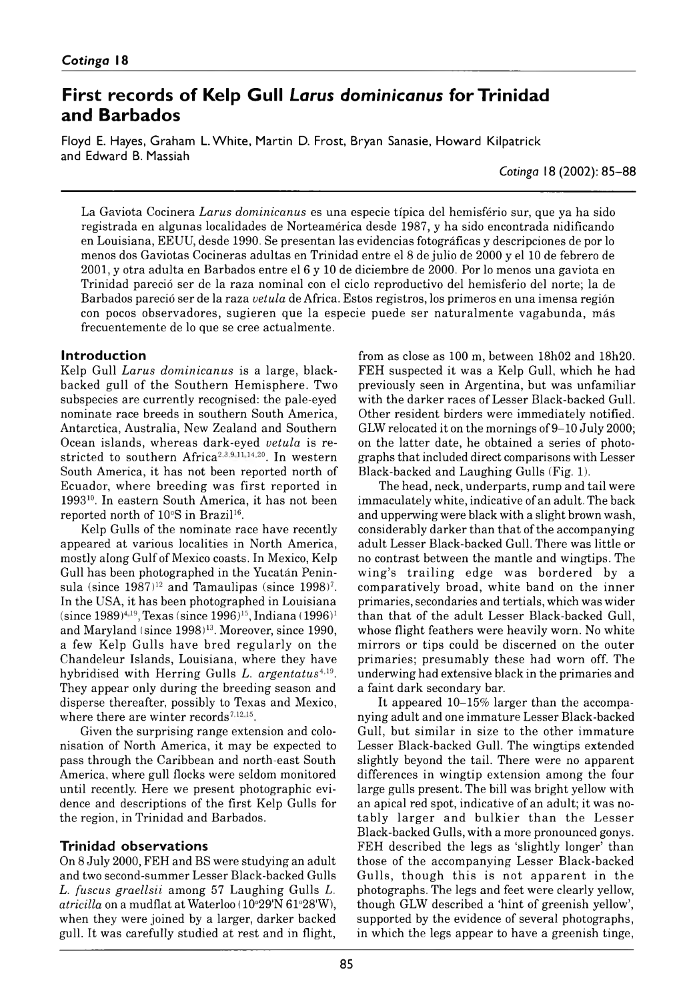# **First records of Kelp Gull Larus dominicanus for Trinidad a n d B a r b a d o s**

Floyd E. Hayes, Graham L. White, Martin D. Frost, Bryan Sanasie, Howard Kilpatrick and Edward B. Massiah

*Cotinga* 18 (2002): 85–88

La Gaviota Cocinera *Larus dominicanus* es una especie típica del hemisfério sur, que ya ha sido registrada en algunas localidades de Norteamérica desde 1987, y ha sido encontrada nidificando en Louisiana, EEUU, desde 1990. Se presentan las evidencias fotográficas y descripciones de por lo menos dos Gaviotas Cocineras adultas en Trinidad entre el 8 de julio de 2000 y el 10 de febrero de 2001, y otra adulta en Barbados entre el 6 y 10 de diciembre de 2000. Por lo menos una gaviota en Trinidad pareció ser de la raza nominal con el ciclo reproductivo del hemisferio del norte; la de Barbados pareció ser de la raza *vetula* de Africa. Estos registros, los primeros en una imensa región con pocos observadores, sugieren que la especie puede ser naturalmente vagabunda, más frecuentemente de lo que se cree actualmente.

# **Introduction**

Kelp Gull *Larus dominicanus* is a large, blackbacked gull of the Southern Hemisphere. Two subspecies are currently recognised: the pale-eyed nominate race breeds in southern South America, Antarctica, Australia, New Zealand and Southern Ocean islands, w hereas dark-eyed *vetula,* is restricted to southern Africa<sup>2,3,9,11,14,20</sup>. In western South America, it has not been reported north of Ecuador, where breeding was first reported in 199310. In eastern South America, it has not been reported north of 10°S in Brazil<sup>16</sup>.

Kelp Gulls of the nominate race have recently appeared at various localities in North America, mostly along Gulf of Mexico coasts. In Mexico, Kelp Gull has been photographed in the Yucatán Peninsula (since  $1987$ <sup>12</sup> and Tamaulipas (since  $1998$ <sup>7</sup>. In the USA, it has been photographed in Louisiana (since 1989)<sup>4,19</sup>, Texas (since 1996)<sup>15</sup>, Indiana (1996)<sup>1</sup> and Maryland (since 1998)<sup>13</sup>. Moreover, since 1990, a few Kelp Gulls have bred regularly on the Chandeleur Islands, Louisiana, where they have hybridised with Herring Gulls *L. argentatus<sup>4,19</sup>.* They appear only during the breeding season and disperse thereafter, possibly to Texas and Mexico, where there are winter records<sup> $7,12,15$ </sup>.

Given the surprising range extension and colonisation of North America, it may be expected to pass through the Caribbean and north-east South America, where gull flocks were seldom monitored until recently. Here we present photographic evidence and descriptions of the first Kelp Gulls for the region, in Trinidad and Barbados.

# **Trinidad observations**

On 8 July 2000, FEH and BS were studying an adult and two second-summer Lesser Black-backed Gulls *L. fuscus graellsii* among 57 Laughing Gulls *L. atricilla* on a mudflat at Waterloo (10°29'N 61°28'W), when they were joined by a larger, darker backed gull. It was carefully studied at rest and in flight,

from as close as 100 m, between 18h02 and 18h20. FEH suspected it was a Kelp Gull, which he had previously seen in Argentina, but was unfamiliar with the darker races of Lesser Black-backed Gull. Other resident birders were immediately notified. GLW relocated it on the mornings of 9-10 July 2000; on the latter date, he obtained a series of photographs that included direct comparisons with Lesser Black-backed and Laughing Gulls (Fig. 1).

The head, neck, underparts, rump and tail were immaculately white, indicative of an adult. The back and upperwing were black with a slight brown wash, considerably darker than that of the accompanying adult Lesser Black-backed Gull. There was little or no contrast between the mantle and wingtips. The wing's trailing edge was bordered by a com paratively broad, w hite band on the inner primaries, secondaries and tertials, which was wider than that of the adult Lesser Black-backed Gull, whose flight feathers were heavily worn. No white mirrors or tips could be discerned on the outer primaries; presumably these had worn off. The underwing had extensive black in the primaries and a faint dark secondary bar.

It appeared 10–15% larger than the accompanying adult and one immature Lesser Black-backed Gull, but similar in size to the other immature Lesser Black-backed Gull. The wingtips extended slightly beyond the tail. There were no apparent differences in wingtip extension among the four large gulls present. The bill was bright yellow with an apical red spot, indicative of an adult; it was notably larger and bulkier than the Lesser Black-backed Gulls, with a more pronounced gonys. FEH described the legs as 'slightly longer' than those of the accompanying Lesser Black-backed Gulls, though this is not apparent in the photographs. The legs and feet were clearly yellow, though GLW described a 'hint of greenish yellow', supported by the evidence of several photographs, in which the legs appear to have a greenish tinge,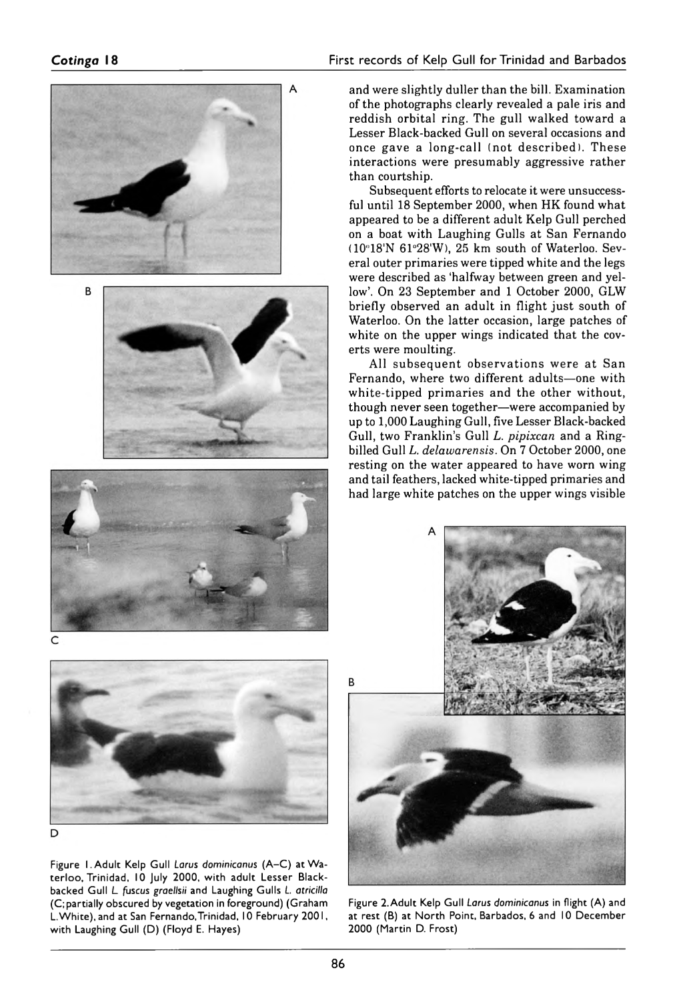

D

Figure 1. Adult Kelp Gull *Larus dominicanus* (A–C) at Waterloo, Trinidad, 10 July 2000, with adult Lesser Blackbacked Gull *L. fuscus graellsii* and Laughing Gulls *L. atricilla* (C; partially obscured by vegetation in foreground) (Graham L. White), and at San Fernando, Trinidad, 10 February 2001, with Laughing Gull (D) (Floyd E. Hayes)

and were slightly duller than the bill. Examination of the photographs clearly revealed a pale iris and reddish orbital ring. The gull walked toward a Lesser Black-backed Gull on several occasions and once gave a long-call ( not described). These interactions were presumably aggressive rather than courtship.

Subsequent efforts to relocate it were unsuccessful until 18 September 2000, when HK found what appeared to be a different adult Kelp Gull perched on a boat with Laughing Gulls at San Fernando (10°18'N 61°28'W), 25 km south of Waterloo. Several outer primaries were tipped white and the legs were described as 'halfway between green and yellow'. On 23 September and 1 October 2000, GLW briefly observed an adult in flight just south of Waterloo. On the latter occasion, large patches of white on the upper wings indicated that the coverts were moulting.

All subsequent observations were at San Fernando, where two different adults-one with white-tipped primaries and the other without, though never seen together—were accompanied by up to 1,000 Laughing Gull, five Lesser Black-backed Gull, two Franklin's Gull *L. pipixcan* and a Ringbilled Gull *L. delawarensis.* On 7 October 2000, one resting on the water appeared to have worn wing and tail feathers, lacked white-tipped primaries and had large white patches on the upper wings visible



Figure 2. Adult Kelp Gull *Larus dominicanus* in flight (A) and at rest (B) at North Point, Barbados, 6 and 10 December 2000 (Martin D. Frost)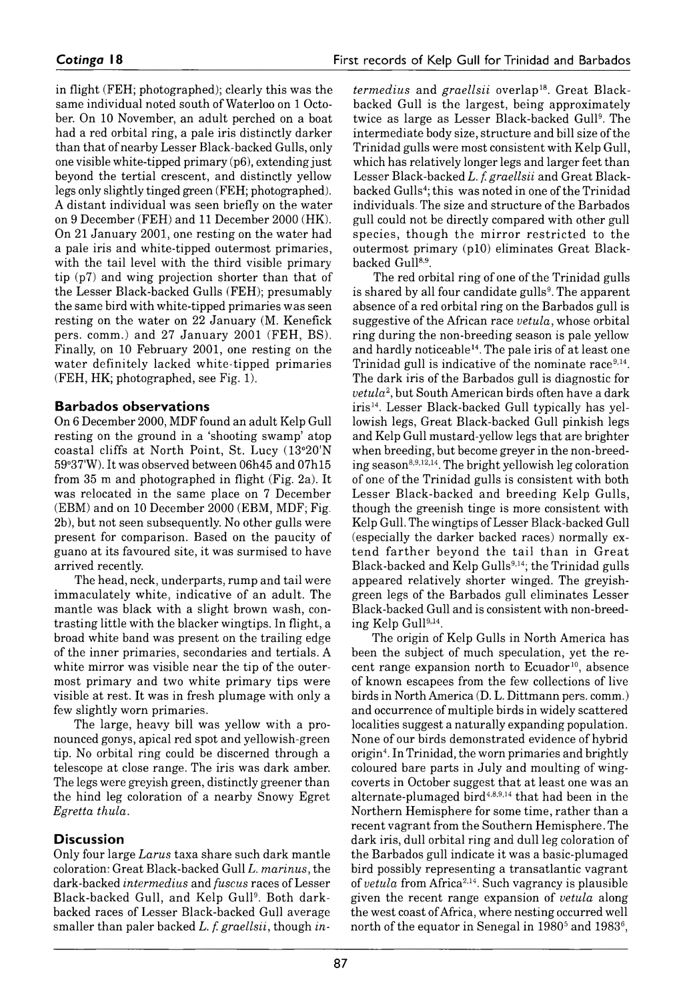in flight (FEH; photographed); clearly this was the same individual noted south of Waterloo on 1 October. On 10 November, an adult perched on a boat had a red orbital ring, a pale iris distinctly darker than that of nearby Lesser Black-backed Gulls, only one visible white-tipped primary (p6), extending just beyond the tertial crescent, and distinctly yellow legs only slightly tinged green (FEH; photographed). A distant individual was seen briefly on the water on 9 December (FEH) and 11 December 2000 (HK). On 21 January 2001, one resting on the water had a pale iris and white-tipped outermost primaries, with the tail level with the third visible primary tip  $(p7)$  and wing projection shorter than that of the Lesser Black-backed Gulls (FEH); presumably the same bird with white-tipped primaries was seen resting on the water on 22 January (M. Kenefick pers. comm.) and 27 January 2001 (FEH, BS). Finally, on 10 February 2001, one resting on the water definitely lacked white-tipped primaries (FEH, HK; photographed, see Fig. 1).

# **Barbados observations**

On 6 December 2000, MDF found an adult Kelp Gull resting on the ground in a 'shooting swamp' atop coastal cliffs at North Point, St. Lucy (13°20'N 59°37W). It was observed between 06h45 and 07h15 from 35 m and photographed in flight (Fig. 2a). It was relocated in the same place on 7 December (EBM) and on 10 December 2000( EBM, MDF; Fig. 2b), but not seen subsequently. No other gulls were present for comparison. Based on the paucity of guano at its favoured site, it was surmised to have arrived recently.

The head, neck, underparts, rump and tail were immaculately white, indicative of an adult. The mantle was black with a slight brown wash, contrasting little with the blacker wingtips. In flight, a broad white band was present on the trailing edge of the inner primaries, secondaries and tertials. A white mirror was visible near the tip of the outermost primary and two white primary tips were visible at rest. It was in fresh plumage with only a few slightly worn primaries.

The large, heavy bill was yellow with a pronounced gonys, apical red spot and yellowish-green tip. No orbital ring could be discerned through a telescope at close range. The iris was dark amber. The legs were greyish green, distinctly greener than the hind leg coloration of a nearby Snowy Egret *Egretta thula.*

# **Discussion**

Only four large *Larus* taxa share such dark mantle coloration: Great Black-backed Gull *L. marinus,* the dark-backed *intermedius* and *fuscus* races of Lesser Black-backed Gull, and Kelp Gull9. Both darkbacked races of Lesser Black-backed Gull average smaller than paler backed *L. f. graellsii*, though *in-* *termedius* and *graellsii* overlap<sup>18</sup>. Great Blackbacked Gull is the largest, being approximately twice as large as Lesser Black-backed Gull<sup>9</sup>. The intermediate body size, structure and bill size of the Trinidad gulls were most consistent with Kelp Gull, which has relatively longer legs and larger feet than Lesser Black-backed *L. f. graellsii* and Great Blackbacked Gulls4; this was noted in one of the Trinidad individuals. The size and structure of the Barbados gull could not be directly compared with other gull species, though the mirror restricted to the outermost primary (p10) eliminates Great Blackbacked Gull<sup>8,9</sup>.

The red orbital ring of one of the Trinidad gulls is shared by all four candidate gulls<sup>9</sup>. The apparent absence of a red orbital ring on the Barbados gull is suggestive of the African race *vetula,* whose orbital ring during the non-breeding season is pale yellow and hardly noticeable<sup>14</sup>. The pale iris of at least one Trinidad gull is indicative of the nominate race  $9,14$ . The dark iris of the Barbados gull is diagnostic for *vetula*2, but South American birds often have a dark iris<sup>14</sup>. Lesser Black-backed Gull typically has yellowish legs, Great Black-backed Gull pinkish legs and Kelp Gull mustard-yellow legs that are brighter when breeding, but become greyer in the non-breeding season8,9,12,14. The bright yellowish leg coloration of one of the Trinidad gulls is consistent with both Lesser Black-backed and breeding Kelp Gulls, though the greenish tinge is more consistent with Kelp Gull. The wingtips of Lesser Black-backed Gull (especially the darker backed races) normally extend farther beyond the tail than in Great Black-backed and Kelp Gulls<sup>9,14</sup>; the Trinidad gulls appeared relatively shorter winged. The greyishgreen legs of the Barbados gull eliminates Lesser Black-backed Gull and is consistent with non-breeding Kelp Gull9,14.

The origin of Kelp Gulls in North America has been the subject of much speculation, yet the recent range expansion north to Ecuador<sup>10</sup>, absence of known escapees from the few collections of live birds in North America (D. L. Dittmann pers. comm.) and occurrence of multiple birds in widely scattered localities suggest a naturally expanding population. None of our birds demonstrated evidence of hybrid origin4. In Trinidad, the worn primaries and brightly coloured bare parts in July and moulting of wingcoverts in October suggest that at least one was an alternate-plumaged bird $4,8,9,14$  that had been in the Northern Hemisphere for some time, rather than a recent vagrant from the Southern Hemisphere. The dark iris, dull orbital ring and dull leg coloration of the Barbados gull indicate it was a basic-plumaged bird possibly representing a transatlantic vagrant of *vetula* from Africa2,14. Such vagrancy is plausible given the recent range expansion of *vetula* along the west coast of Africa, where nesting occurred well north of the equator in Senegal in  $1980<sup>5</sup>$  and  $1983<sup>6</sup>$ ,